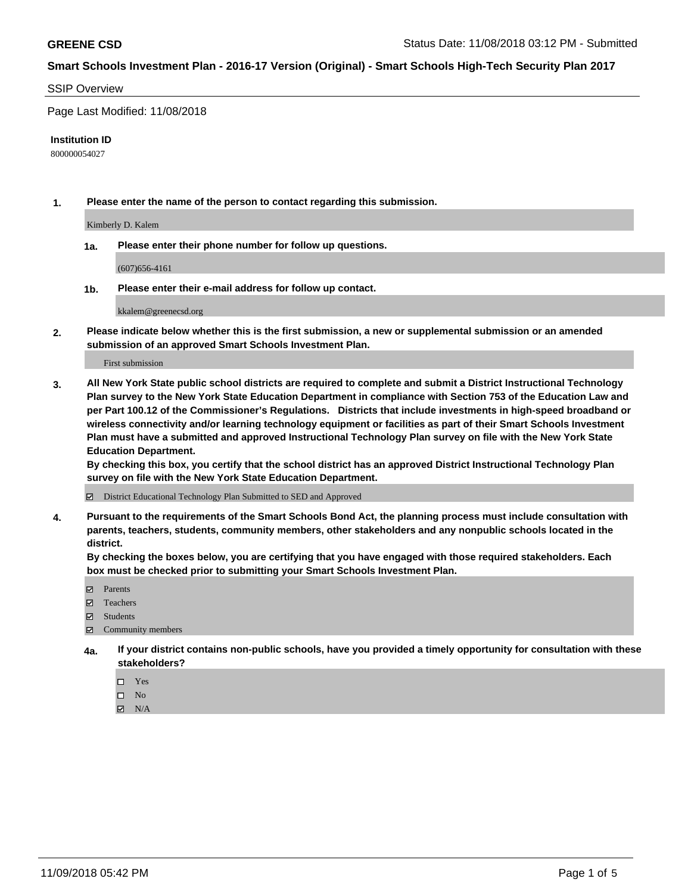### SSIP Overview

Page Last Modified: 11/08/2018

#### **Institution ID**

800000054027

**1. Please enter the name of the person to contact regarding this submission.**

Kimberly D. Kalem

**1a. Please enter their phone number for follow up questions.**

(607)656-4161

**1b. Please enter their e-mail address for follow up contact.**

kkalem@greenecsd.org

**2. Please indicate below whether this is the first submission, a new or supplemental submission or an amended submission of an approved Smart Schools Investment Plan.**

First submission

**3. All New York State public school districts are required to complete and submit a District Instructional Technology Plan survey to the New York State Education Department in compliance with Section 753 of the Education Law and per Part 100.12 of the Commissioner's Regulations. Districts that include investments in high-speed broadband or wireless connectivity and/or learning technology equipment or facilities as part of their Smart Schools Investment Plan must have a submitted and approved Instructional Technology Plan survey on file with the New York State Education Department.** 

**By checking this box, you certify that the school district has an approved District Instructional Technology Plan survey on file with the New York State Education Department.**

District Educational Technology Plan Submitted to SED and Approved

**4. Pursuant to the requirements of the Smart Schools Bond Act, the planning process must include consultation with parents, teachers, students, community members, other stakeholders and any nonpublic schools located in the district.** 

**By checking the boxes below, you are certifying that you have engaged with those required stakeholders. Each box must be checked prior to submitting your Smart Schools Investment Plan.**

- **□** Parents
- Teachers
- Students
- $\boxtimes$  Community members
- **4a. If your district contains non-public schools, have you provided a timely opportunity for consultation with these stakeholders?**
	- $\Box$  Yes
	- $\qquad \qquad$  No
	- $\blacksquare$  N/A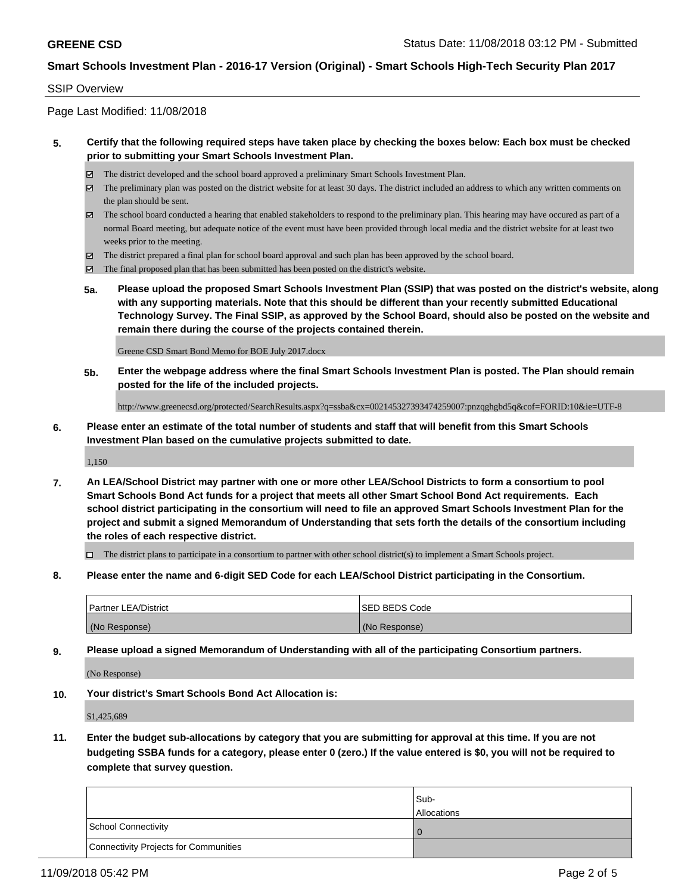### SSIP Overview

Page Last Modified: 11/08/2018

### **5. Certify that the following required steps have taken place by checking the boxes below: Each box must be checked prior to submitting your Smart Schools Investment Plan.**

- The district developed and the school board approved a preliminary Smart Schools Investment Plan.
- $\boxtimes$  The preliminary plan was posted on the district website for at least 30 days. The district included an address to which any written comments on the plan should be sent.
- $\boxtimes$  The school board conducted a hearing that enabled stakeholders to respond to the preliminary plan. This hearing may have occured as part of a normal Board meeting, but adequate notice of the event must have been provided through local media and the district website for at least two weeks prior to the meeting.
- The district prepared a final plan for school board approval and such plan has been approved by the school board.
- $\boxtimes$  The final proposed plan that has been submitted has been posted on the district's website.
- **5a. Please upload the proposed Smart Schools Investment Plan (SSIP) that was posted on the district's website, along with any supporting materials. Note that this should be different than your recently submitted Educational Technology Survey. The Final SSIP, as approved by the School Board, should also be posted on the website and remain there during the course of the projects contained therein.**

Greene CSD Smart Bond Memo for BOE July 2017.docx

**5b. Enter the webpage address where the final Smart Schools Investment Plan is posted. The Plan should remain posted for the life of the included projects.**

http://www.greenecsd.org/protected/SearchResults.aspx?q=ssba&cx=002145327393474259007:pnzqghgbd5q&cof=FORID:10&ie=UTF-8

**6. Please enter an estimate of the total number of students and staff that will benefit from this Smart Schools Investment Plan based on the cumulative projects submitted to date.**

1,150

**7. An LEA/School District may partner with one or more other LEA/School Districts to form a consortium to pool Smart Schools Bond Act funds for a project that meets all other Smart School Bond Act requirements. Each school district participating in the consortium will need to file an approved Smart Schools Investment Plan for the project and submit a signed Memorandum of Understanding that sets forth the details of the consortium including the roles of each respective district.**

 $\Box$  The district plans to participate in a consortium to partner with other school district(s) to implement a Smart Schools project.

**8. Please enter the name and 6-digit SED Code for each LEA/School District participating in the Consortium.**

| <b>Partner LEA/District</b> | <b>ISED BEDS Code</b> |
|-----------------------------|-----------------------|
| (No Response)               | (No Response)         |

**9. Please upload a signed Memorandum of Understanding with all of the participating Consortium partners.**

(No Response)

**10. Your district's Smart Schools Bond Act Allocation is:**

\$1,425,689

**11. Enter the budget sub-allocations by category that you are submitting for approval at this time. If you are not budgeting SSBA funds for a category, please enter 0 (zero.) If the value entered is \$0, you will not be required to complete that survey question.**

|                                              | Sub-<br><b>Allocations</b> |
|----------------------------------------------|----------------------------|
| <b>School Connectivity</b>                   |                            |
| <b>Connectivity Projects for Communities</b> |                            |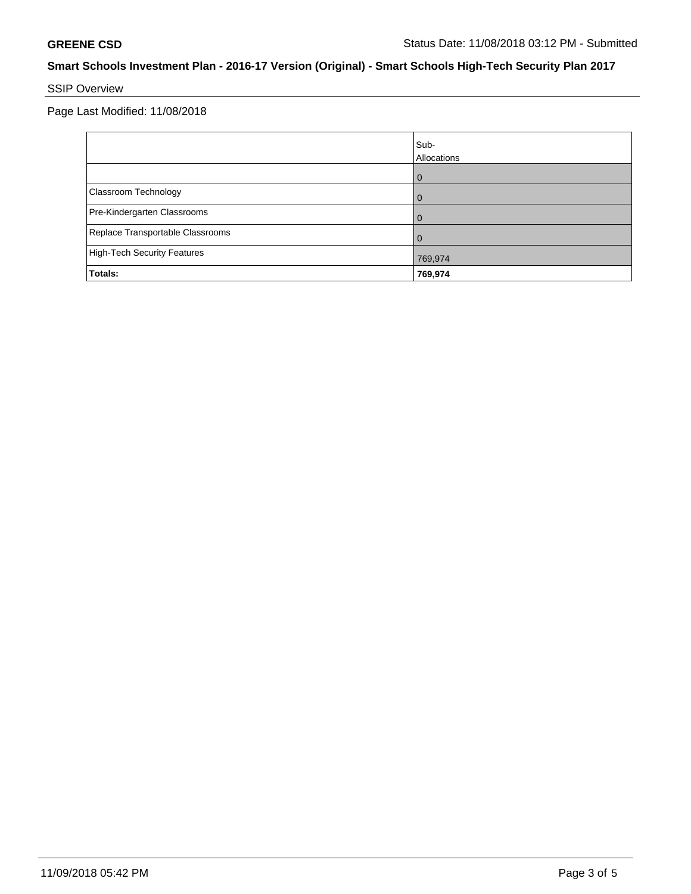# SSIP Overview

Page Last Modified: 11/08/2018

|                                    | Sub-<br>Allocations |
|------------------------------------|---------------------|
|                                    | $\mathbf{I}$        |
| Classroom Technology               |                     |
| Pre-Kindergarten Classrooms        |                     |
| Replace Transportable Classrooms   |                     |
| <b>High-Tech Security Features</b> | 769,974             |
| Totals:                            | 769,974             |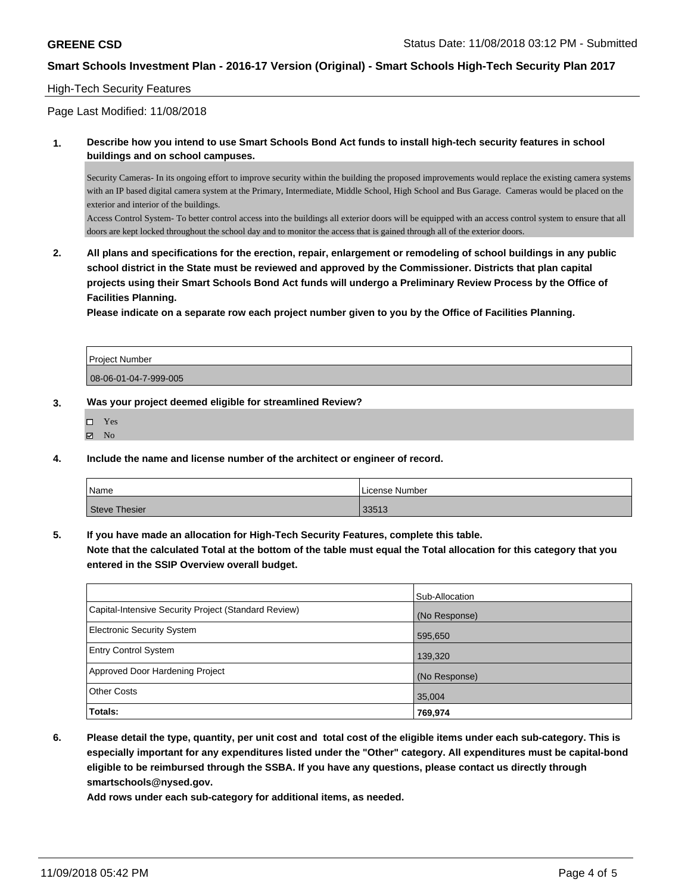### High-Tech Security Features

Page Last Modified: 11/08/2018

**1. Describe how you intend to use Smart Schools Bond Act funds to install high-tech security features in school buildings and on school campuses.**

Security Cameras- In its ongoing effort to improve security within the building the proposed improvements would replace the existing camera systems with an IP based digital camera system at the Primary, Intermediate, Middle School, High School and Bus Garage. Cameras would be placed on the exterior and interior of the buildings.

Access Control System- To better control access into the buildings all exterior doors will be equipped with an access control system to ensure that all doors are kept locked throughout the school day and to monitor the access that is gained through all of the exterior doors.

**2. All plans and specifications for the erection, repair, enlargement or remodeling of school buildings in any public school district in the State must be reviewed and approved by the Commissioner. Districts that plan capital projects using their Smart Schools Bond Act funds will undergo a Preliminary Review Process by the Office of Facilities Planning.** 

**Please indicate on a separate row each project number given to you by the Office of Facilities Planning.**

| <b>Project Number</b> |  |
|-----------------------|--|
| 08-06-01-04-7-999-005 |  |

#### **3. Was your project deemed eligible for streamlined Review?**

| □ | Yes |
|---|-----|
| ⊽ | No  |

**4. Include the name and license number of the architect or engineer of record.**

| Name          | License Number |  |
|---------------|----------------|--|
| Steve Thesier | 33513          |  |

**5. If you have made an allocation for High-Tech Security Features, complete this table.**

**Note that the calculated Total at the bottom of the table must equal the Total allocation for this category that you entered in the SSIP Overview overall budget.**

|                                                      | Sub-Allocation |
|------------------------------------------------------|----------------|
| Capital-Intensive Security Project (Standard Review) | (No Response)  |
| <b>Electronic Security System</b>                    | 595,650        |
| <b>Entry Control System</b>                          | 139,320        |
| Approved Door Hardening Project                      | (No Response)  |
| <b>Other Costs</b>                                   | 35,004         |
| Totals:                                              | 769,974        |

**6. Please detail the type, quantity, per unit cost and total cost of the eligible items under each sub-category. This is especially important for any expenditures listed under the "Other" category. All expenditures must be capital-bond eligible to be reimbursed through the SSBA. If you have any questions, please contact us directly through smartschools@nysed.gov.**

**Add rows under each sub-category for additional items, as needed.**